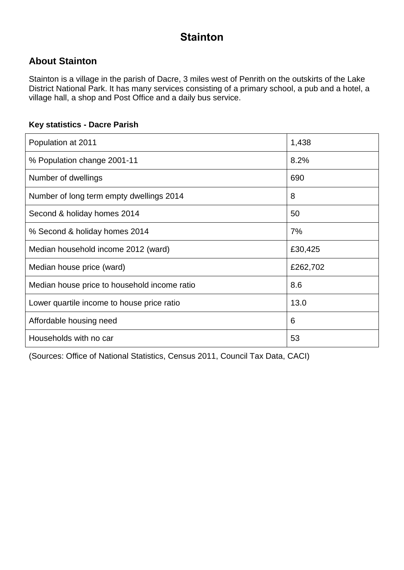## **Stainton**

#### **About Stainton**

Stainton is a village in the parish of Dacre, 3 miles west of Penrith on the outskirts of the Lake District National Park. It has many services consisting of a primary school, a pub and a hotel, a village hall, a shop and Post Office and a daily bus service.

#### **Key statistics - Dacre Parish**

| Population at 2011                           | 1,438    |
|----------------------------------------------|----------|
| % Population change 2001-11                  | 8.2%     |
| Number of dwellings                          | 690      |
| Number of long term empty dwellings 2014     | 8        |
| Second & holiday homes 2014                  | 50       |
| % Second & holiday homes 2014                | 7%       |
| Median household income 2012 (ward)          | £30,425  |
| Median house price (ward)                    | £262,702 |
| Median house price to household income ratio | 8.6      |
| Lower quartile income to house price ratio   | 13.0     |
| Affordable housing need                      | 6        |
| Households with no car                       | 53       |

(Sources: Office of National Statistics, Census 2011, Council Tax Data, CACI)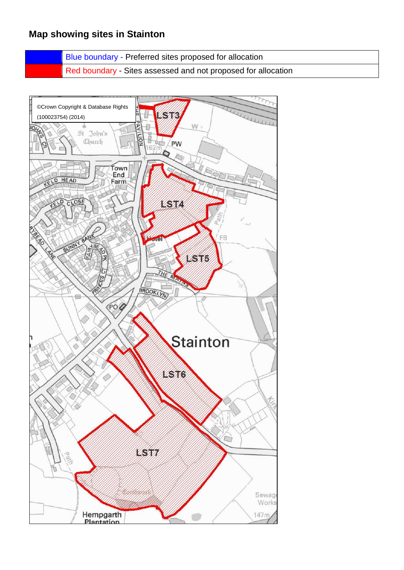### **Map showing sites in Stainton**

Blue boundary - Preferred sites proposed for allocation

Red boundary - Sites assessed and not proposed for allocation

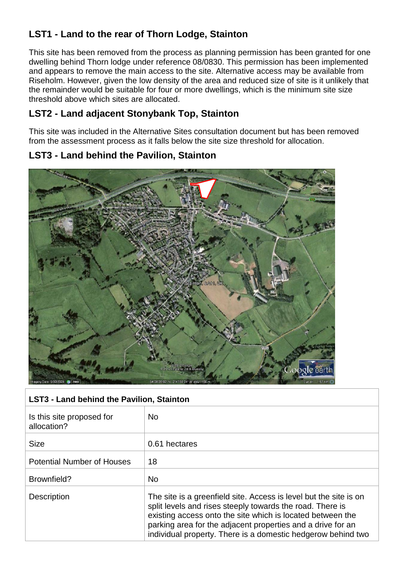### **LST1 - Land to the rear of Thorn Lodge, Stainton**

This site has been removed from the process as planning permission has been granted for one dwelling behind Thorn lodge under reference 08/0830. This permission has been implemented and appears to remove the main access to the site. Alternative access may be available from Riseholm. However, given the low density of the area and reduced size of site is it unlikely that the remainder would be suitable for four or more dwellings, which is the minimum site size threshold above which sites are allocated.

### **LST2 - Land adjacent Stonybank Top, Stainton**

This site was included in the Alternative Sites consultation document but has been removed from the assessment process as it falls below the site size threshold for allocation.

#### **LST3 - Land behind the Pavilion, Stainton**



| <b>LST3 - Land behind the Pavilion, Stainton</b> |                                                                                                                                                                                                                                                                                                                             |
|--------------------------------------------------|-----------------------------------------------------------------------------------------------------------------------------------------------------------------------------------------------------------------------------------------------------------------------------------------------------------------------------|
| Is this site proposed for<br>allocation?         | <b>No</b>                                                                                                                                                                                                                                                                                                                   |
| <b>Size</b>                                      | 0.61 hectares                                                                                                                                                                                                                                                                                                               |
| <b>Potential Number of Houses</b>                | 18                                                                                                                                                                                                                                                                                                                          |
| Brownfield?                                      | <b>No</b>                                                                                                                                                                                                                                                                                                                   |
| <b>Description</b>                               | The site is a greenfield site. Access is level but the site is on<br>split levels and rises steeply towards the road. There is<br>existing access onto the site which is located between the<br>parking area for the adjacent properties and a drive for an<br>individual property. There is a domestic hedgerow behind two |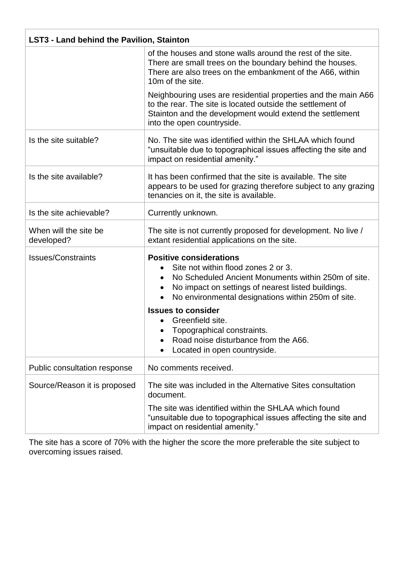| <b>LST3 - Land behind the Pavilion, Stainton</b> |                                                                                                                                                                                                                                                       |
|--------------------------------------------------|-------------------------------------------------------------------------------------------------------------------------------------------------------------------------------------------------------------------------------------------------------|
|                                                  | of the houses and stone walls around the rest of the site.<br>There are small trees on the boundary behind the houses.<br>There are also trees on the embankment of the A66, within<br>10m of the site.                                               |
|                                                  | Neighbouring uses are residential properties and the main A66<br>to the rear. The site is located outside the settlement of<br>Stainton and the development would extend the settlement<br>into the open countryside.                                 |
| Is the site suitable?                            | No. The site was identified within the SHLAA which found<br>"unsuitable due to topographical issues affecting the site and<br>impact on residential amenity."                                                                                         |
| Is the site available?                           | It has been confirmed that the site is available. The site<br>appears to be used for grazing therefore subject to any grazing<br>tenancies on it, the site is available.                                                                              |
| Is the site achievable?                          | Currently unknown.                                                                                                                                                                                                                                    |
| When will the site be<br>developed?              | The site is not currently proposed for development. No live /<br>extant residential applications on the site.                                                                                                                                         |
| <b>Issues/Constraints</b>                        | <b>Positive considerations</b><br>Site not within flood zones 2 or 3.<br>No Scheduled Ancient Monuments within 250m of site.<br>$\bullet$<br>No impact on settings of nearest listed buildings.<br>No environmental designations within 250m of site. |
|                                                  | <b>Issues to consider</b><br>Greenfield site.<br>Topographical constraints.<br>Road noise disturbance from the A66.<br>Located in open countryside.                                                                                                   |
| Public consultation response                     | No comments received.                                                                                                                                                                                                                                 |
| Source/Reason it is proposed                     | The site was included in the Alternative Sites consultation<br>document.                                                                                                                                                                              |
|                                                  | The site was identified within the SHLAA which found<br>"unsuitable due to topographical issues affecting the site and<br>impact on residential amenity."                                                                                             |

The site has a score of 70% with the higher the score the more preferable the site subject to overcoming issues raised.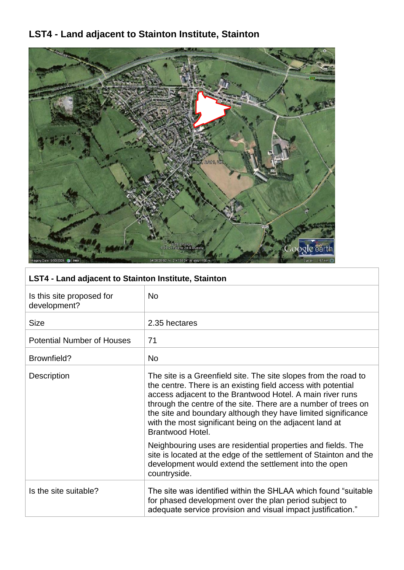# **LST4 - Land adjacent to Stainton Institute, Stainton**



| LST4 - Land adjacent to Stainton Institute, Stainton |                                                                                                                                                                                                                                                                                                                                                                                                                                                                                |
|------------------------------------------------------|--------------------------------------------------------------------------------------------------------------------------------------------------------------------------------------------------------------------------------------------------------------------------------------------------------------------------------------------------------------------------------------------------------------------------------------------------------------------------------|
| Is this site proposed for<br>development?            | <b>No</b>                                                                                                                                                                                                                                                                                                                                                                                                                                                                      |
| <b>Size</b>                                          | 2.35 hectares                                                                                                                                                                                                                                                                                                                                                                                                                                                                  |
| <b>Potential Number of Houses</b>                    | 71                                                                                                                                                                                                                                                                                                                                                                                                                                                                             |
| Brownfield?                                          | <b>No</b>                                                                                                                                                                                                                                                                                                                                                                                                                                                                      |
| Description                                          | The site is a Greenfield site. The site slopes from the road to<br>the centre. There is an existing field access with potential<br>access adjacent to the Brantwood Hotel. A main river runs<br>through the centre of the site. There are a number of trees on<br>the site and boundary although they have limited significance<br>with the most significant being on the adjacent land at<br>Brantwood Hotel.<br>Neighbouring uses are residential properties and fields. The |
|                                                      | site is located at the edge of the settlement of Stainton and the<br>development would extend the settlement into the open<br>countryside.                                                                                                                                                                                                                                                                                                                                     |
| Is the site suitable?                                | The site was identified within the SHLAA which found "suitable"<br>for phased development over the plan period subject to<br>adequate service provision and visual impact justification."                                                                                                                                                                                                                                                                                      |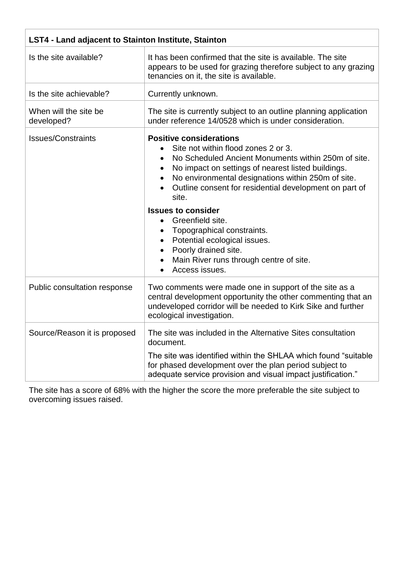| LST4 - Land adjacent to Stainton Institute, Stainton |                                                                                                                                                                                                                                                                                                                                                                                                                                                                                                                                           |
|------------------------------------------------------|-------------------------------------------------------------------------------------------------------------------------------------------------------------------------------------------------------------------------------------------------------------------------------------------------------------------------------------------------------------------------------------------------------------------------------------------------------------------------------------------------------------------------------------------|
| Is the site available?                               | It has been confirmed that the site is available. The site<br>appears to be used for grazing therefore subject to any grazing<br>tenancies on it, the site is available.                                                                                                                                                                                                                                                                                                                                                                  |
| Is the site achievable?                              | Currently unknown.                                                                                                                                                                                                                                                                                                                                                                                                                                                                                                                        |
| When will the site be<br>developed?                  | The site is currently subject to an outline planning application<br>under reference 14/0528 which is under consideration.                                                                                                                                                                                                                                                                                                                                                                                                                 |
| <b>Issues/Constraints</b>                            | <b>Positive considerations</b><br>Site not within flood zones 2 or 3.<br>No Scheduled Ancient Monuments within 250m of site.<br>No impact on settings of nearest listed buildings.<br>No environmental designations within 250m of site.<br>Outline consent for residential development on part of<br>$\bullet$<br>site.<br><b>Issues to consider</b><br>Greenfield site.<br>$\bullet$<br>Topographical constraints.<br>Potential ecological issues.<br>Poorly drained site.<br>Main River runs through centre of site.<br>Access issues. |
| Public consultation response                         | Two comments were made one in support of the site as a<br>central development opportunity the other commenting that an<br>undeveloped corridor will be needed to Kirk Sike and further<br>ecological investigation.                                                                                                                                                                                                                                                                                                                       |
| Source/Reason it is proposed                         | The site was included in the Alternative Sites consultation<br>document.<br>The site was identified within the SHLAA which found "suitable"<br>for phased development over the plan period subject to<br>adequate service provision and visual impact justification."                                                                                                                                                                                                                                                                     |

The site has a score of 68% with the higher the score the more preferable the site subject to overcoming issues raised.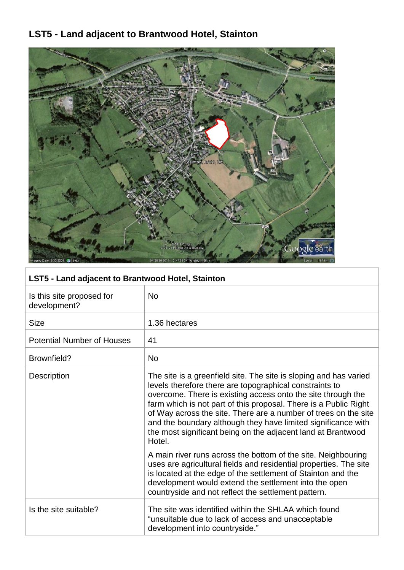# **LST5 - Land adjacent to Brantwood Hotel, Stainton**



| LST5 - Land adjacent to Brantwood Hotel, Stainton |                                                                                                                                                                                                                                                                                                                                                                                                                                                                                |
|---------------------------------------------------|--------------------------------------------------------------------------------------------------------------------------------------------------------------------------------------------------------------------------------------------------------------------------------------------------------------------------------------------------------------------------------------------------------------------------------------------------------------------------------|
| Is this site proposed for<br>development?         | <b>No</b>                                                                                                                                                                                                                                                                                                                                                                                                                                                                      |
| <b>Size</b>                                       | 1.36 hectares                                                                                                                                                                                                                                                                                                                                                                                                                                                                  |
| <b>Potential Number of Houses</b>                 | 41                                                                                                                                                                                                                                                                                                                                                                                                                                                                             |
| Brownfield?                                       | <b>No</b>                                                                                                                                                                                                                                                                                                                                                                                                                                                                      |
| <b>Description</b>                                | The site is a greenfield site. The site is sloping and has varied<br>levels therefore there are topographical constraints to<br>overcome. There is existing access onto the site through the<br>farm which is not part of this proposal. There is a Public Right<br>of Way across the site. There are a number of trees on the site<br>and the boundary although they have limited significance with<br>the most significant being on the adjacent land at Brantwood<br>Hotel. |
|                                                   | A main river runs across the bottom of the site. Neighbouring<br>uses are agricultural fields and residential properties. The site<br>is located at the edge of the settlement of Stainton and the<br>development would extend the settlement into the open<br>countryside and not reflect the settlement pattern.                                                                                                                                                             |
| Is the site suitable?                             | The site was identified within the SHLAA which found<br>"unsuitable due to lack of access and unacceptable<br>development into countryside."                                                                                                                                                                                                                                                                                                                                   |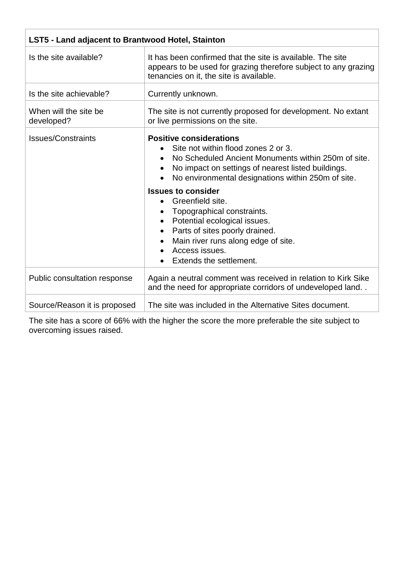| LST5 - Land adjacent to Brantwood Hotel, Stainton |                                                                                                                                                                                                                                                                                                                                                                                                                                                                               |
|---------------------------------------------------|-------------------------------------------------------------------------------------------------------------------------------------------------------------------------------------------------------------------------------------------------------------------------------------------------------------------------------------------------------------------------------------------------------------------------------------------------------------------------------|
| Is the site available?                            | It has been confirmed that the site is available. The site<br>appears to be used for grazing therefore subject to any grazing<br>tenancies on it, the site is available.                                                                                                                                                                                                                                                                                                      |
| Is the site achievable?                           | Currently unknown.                                                                                                                                                                                                                                                                                                                                                                                                                                                            |
| When will the site be<br>developed?               | The site is not currently proposed for development. No extant<br>or live permissions on the site.                                                                                                                                                                                                                                                                                                                                                                             |
| <b>Issues/Constraints</b>                         | <b>Positive considerations</b><br>Site not within flood zones 2 or 3.<br>No Scheduled Ancient Monuments within 250m of site.<br>No impact on settings of nearest listed buildings.<br>No environmental designations within 250m of site.<br><b>Issues to consider</b><br>Greenfield site.<br>Topographical constraints.<br>Potential ecological issues.<br>Parts of sites poorly drained.<br>Main river runs along edge of site.<br>Access issues.<br>Extends the settlement. |
| Public consultation response                      | Again a neutral comment was received in relation to Kirk Sike<br>and the need for appropriate corridors of undeveloped land                                                                                                                                                                                                                                                                                                                                                   |
| Source/Reason it is proposed                      | The site was included in the Alternative Sites document.                                                                                                                                                                                                                                                                                                                                                                                                                      |

The site has a score of 66% with the higher the score the more preferable the site subject to overcoming issues raised.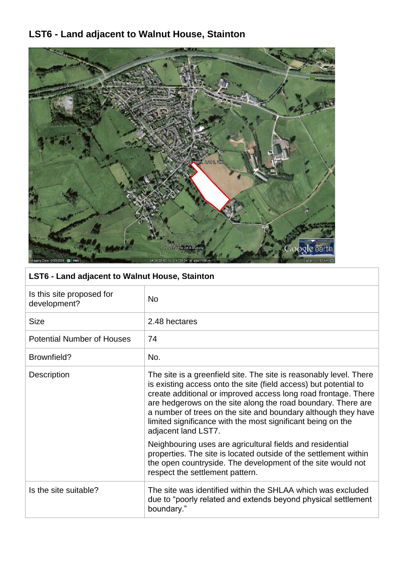## **LST6 - Land adjacent to Walnut House, Stainton**



### **LST6 - Land adjacent to Walnut House, Stainton**

| Is this site proposed for<br>development? | No.                                                                                                                                                                                                                                                                                                                                                                                                                             |
|-------------------------------------------|---------------------------------------------------------------------------------------------------------------------------------------------------------------------------------------------------------------------------------------------------------------------------------------------------------------------------------------------------------------------------------------------------------------------------------|
| <b>Size</b>                               | 2.48 hectares                                                                                                                                                                                                                                                                                                                                                                                                                   |
| <b>Potential Number of Houses</b>         | 74                                                                                                                                                                                                                                                                                                                                                                                                                              |
| Brownfield?                               | No.                                                                                                                                                                                                                                                                                                                                                                                                                             |
| Description                               | The site is a greenfield site. The site is reasonably level. There<br>is existing access onto the site (field access) but potential to<br>create additional or improved access long road frontage. There<br>are hedgerows on the site along the road boundary. There are<br>a number of trees on the site and boundary although they have<br>limited significance with the most significant being on the<br>adjacent land LST7. |
|                                           | Neighbouring uses are agricultural fields and residential<br>properties. The site is located outside of the settlement within<br>the open countryside. The development of the site would not<br>respect the settlement pattern.                                                                                                                                                                                                 |
| Is the site suitable?                     | The site was identified within the SHLAA which was excluded<br>due to "poorly related and extends beyond physical settlement<br>boundary."                                                                                                                                                                                                                                                                                      |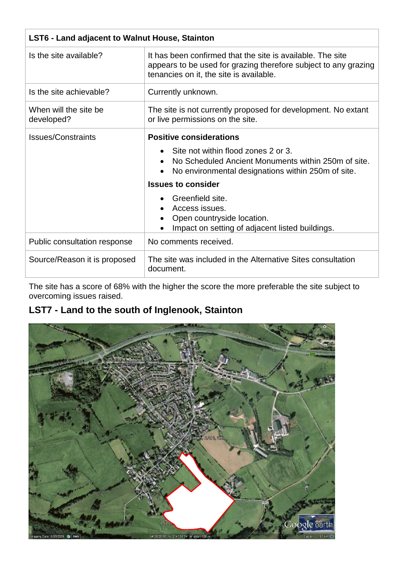| <b>LST6 - Land adjacent to Walnut House, Stainton</b> |                                                                                                                                                                          |
|-------------------------------------------------------|--------------------------------------------------------------------------------------------------------------------------------------------------------------------------|
| Is the site available?                                | It has been confirmed that the site is available. The site<br>appears to be used for grazing therefore subject to any grazing<br>tenancies on it, the site is available. |
| Is the site achievable?                               | Currently unknown.                                                                                                                                                       |
| When will the site be<br>developed?                   | The site is not currently proposed for development. No extant<br>or live permissions on the site.                                                                        |
| Issues/Constraints                                    | <b>Positive considerations</b>                                                                                                                                           |
|                                                       | Site not within flood zones 2 or 3.<br>No Scheduled Ancient Monuments within 250m of site.<br>No environmental designations within 250m of site.                         |
|                                                       | <b>Issues to consider</b>                                                                                                                                                |
|                                                       | Greenfield site.<br>Access issues.<br>Open countryside location.<br>Impact on setting of adjacent listed buildings.                                                      |
| Public consultation response                          | No comments received.                                                                                                                                                    |
| Source/Reason it is proposed                          | The site was included in the Alternative Sites consultation<br>document.                                                                                                 |

The site has a score of 68% with the higher the score the more preferable the site subject to overcoming issues raised.

## **LST7 - Land to the south of Inglenook, Stainton**

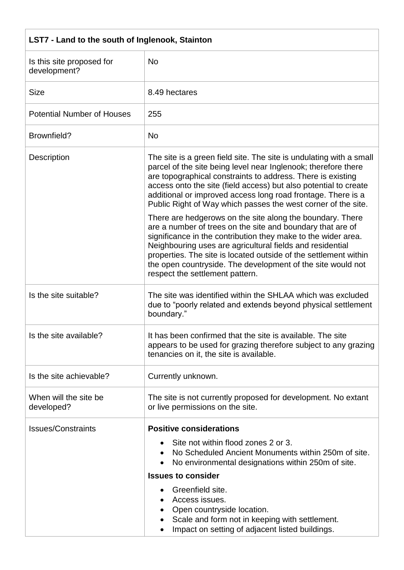| LST7 - Land to the south of Inglenook, Stainton |                                                                                                                                                                                                                                                                                                                                                                                                                                                                                                                                      |
|-------------------------------------------------|--------------------------------------------------------------------------------------------------------------------------------------------------------------------------------------------------------------------------------------------------------------------------------------------------------------------------------------------------------------------------------------------------------------------------------------------------------------------------------------------------------------------------------------|
| Is this site proposed for<br>development?       | <b>No</b>                                                                                                                                                                                                                                                                                                                                                                                                                                                                                                                            |
| <b>Size</b>                                     | 8.49 hectares                                                                                                                                                                                                                                                                                                                                                                                                                                                                                                                        |
| <b>Potential Number of Houses</b>               | 255                                                                                                                                                                                                                                                                                                                                                                                                                                                                                                                                  |
| Brownfield?                                     | <b>No</b>                                                                                                                                                                                                                                                                                                                                                                                                                                                                                                                            |
| <b>Description</b>                              | The site is a green field site. The site is undulating with a small<br>parcel of the site being level near Inglenook; therefore there<br>are topographical constraints to address. There is existing<br>access onto the site (field access) but also potential to create<br>additional or improved access long road frontage. There is a<br>Public Right of Way which passes the west corner of the site.<br>There are hedgerows on the site along the boundary. There<br>are a number of trees on the site and boundary that are of |
|                                                 | significance in the contribution they make to the wider area.<br>Neighbouring uses are agricultural fields and residential<br>properties. The site is located outside of the settlement within<br>the open countryside. The development of the site would not<br>respect the settlement pattern.                                                                                                                                                                                                                                     |
| Is the site suitable?                           | The site was identified within the SHLAA which was excluded<br>due to "poorly related and extends beyond physical settlement<br>boundary."                                                                                                                                                                                                                                                                                                                                                                                           |
| Is the site available?                          | It has been confirmed that the site is available. The site<br>appears to be used for grazing therefore subject to any grazing<br>tenancies on it, the site is available.                                                                                                                                                                                                                                                                                                                                                             |
| Is the site achievable?                         | Currently unknown.                                                                                                                                                                                                                                                                                                                                                                                                                                                                                                                   |
| When will the site be<br>developed?             | The site is not currently proposed for development. No extant<br>or live permissions on the site.                                                                                                                                                                                                                                                                                                                                                                                                                                    |
| <b>Issues/Constraints</b>                       | <b>Positive considerations</b><br>Site not within flood zones 2 or 3.<br>No Scheduled Ancient Monuments within 250m of site.<br>No environmental designations within 250m of site.<br><b>Issues to consider</b><br>Greenfield site.<br>Access issues.<br>Open countryside location.<br>Scale and form not in keeping with settlement.<br>Impact on setting of adjacent listed buildings.                                                                                                                                             |